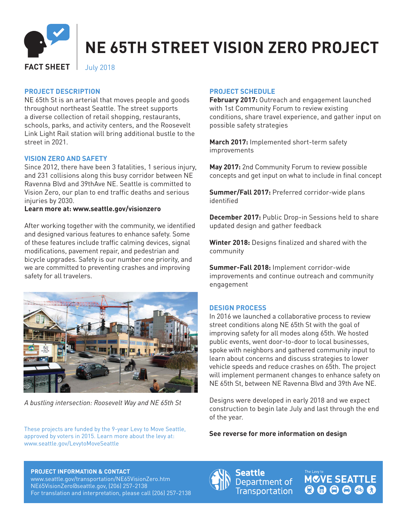

# **NE 65TH STREET VISION ZERO PROJECT**

**FACT SHEET** July 2018

#### **PROJECT DESCRIPTION**

NE 65th St is an arterial that moves people and goods throughout northeast Seattle. The street supports a diverse collection of retail shopping, restaurants, schools, parks, and activity centers, and the Roosevelt Link Light Rail station will bring additional bustle to the street in 2021.

#### **VISION ZERO AND SAFETY**

Since 2012, there have been 3 fatalities, 1 serious injury, and 231 collisions along this busy corridor between NE Ravenna Blvd and 39thAve NE. Seattle is committed to Vision Zero, our plan to end traffic deaths and serious injuries by 2030.

**Learn more at: www.seattle.gov/visionzero**

After working together with the community, we identified and designed various features to enhance safety. Some of these features include traffic calming devices, signal modifications, pavement repair, and pedestrian and bicycle upgrades. Safety is our number one priority, and we are committed to preventing crashes and improving safety for all travelers.



*A bustling intersection: Roosevelt Way and NE 65th St*

These projects are funded by the 9-year Levy to Move Seattle, approved by voters in 2015. Learn more about the levy at: www.seattle.gov/LevytoMoveSeattle

#### **PROJECT SCHEDULE**

**February 2017:** Outreach and engagement launched with 1st Community Forum to review existing conditions, share travel experience, and gather input on possible safety strategies

**March 2017:** Implemented short-term safety improvements

**May 2017:** 2nd Community Forum to review possible concepts and get input on what to include in final concept

**Summer/Fall 2017:** Preferred corridor-wide plans identified

**December 2017:** Public Drop-in Sessions held to share updated design and gather feedback

**Winter 2018:** Designs finalized and shared with the community

**Summer-Fall 2018:** Implement corridor-wide improvements and continue outreach and community engagement

### **DESIGN PROCESS**

In 2016 we launched a collaborative process to review street conditions along NE 65th St with the goal of improving safety for all modes along 65th. We hosted public events, went door-to-door to local businesses, spoke with neighbors and gathered community input to learn about concerns and discuss strategies to lower vehicle speeds and reduce crashes on 65th. The project will implement permanent changes to enhance safety on NE 65th St, between NE Ravenna Blvd and 39th Ave NE.

Designs were developed in early 2018 and we expect construction to begin late July and last through the end of the year.

**See reverse for more information on design**

#### **PROJECT INFORMATION & CONTACT**

www.seattle.gov/transportation/NE65VisionZero.htm NE65VisionZero@seattle.gov, (206) 257-2138 For translation and interpretation, please call (206) 257-2138



**MCVE SEATTLE** 000000